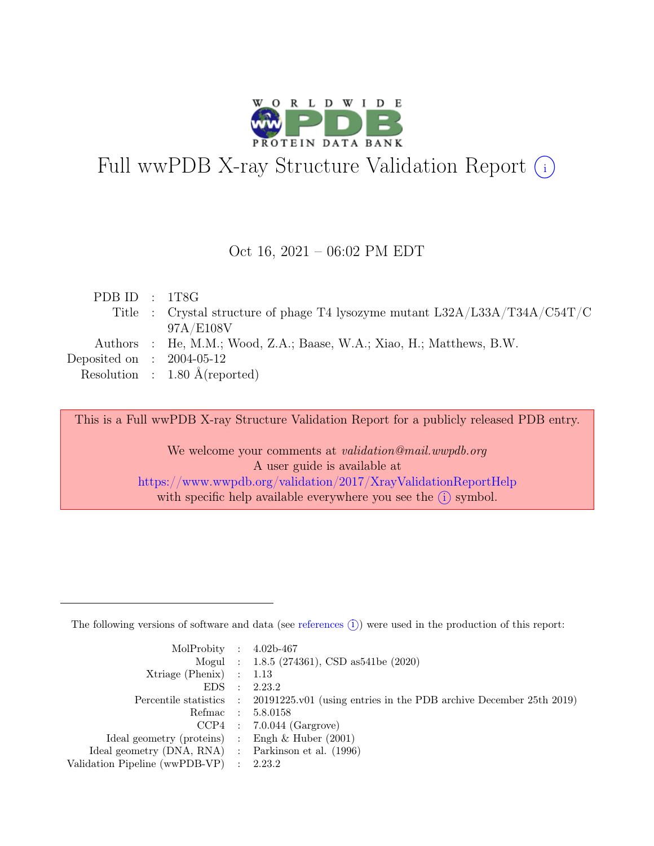

# Full wwPDB X-ray Structure Validation Report  $(i)$

#### Oct 16, 2021 – 06:02 PM EDT

| PDB ID : $1T8G$             |                                                                               |
|-----------------------------|-------------------------------------------------------------------------------|
|                             | Title : Crystal structure of phage T4 lysozyme mutant $L32A/L33A/T34A/C54T/C$ |
|                             | 97A/E108V                                                                     |
|                             | Authors : He, M.M.; Wood, Z.A.; Baase, W.A.; Xiao, H.; Matthews, B.W.         |
| Deposited on : $2004-05-12$ |                                                                               |
|                             | Resolution : $1.80 \text{ Å}$ (reported)                                      |
|                             |                                                                               |

This is a Full wwPDB X-ray Structure Validation Report for a publicly released PDB entry.

We welcome your comments at validation@mail.wwpdb.org A user guide is available at <https://www.wwpdb.org/validation/2017/XrayValidationReportHelp> with specific help available everywhere you see the  $(i)$  symbol.

The following versions of software and data (see [references](https://www.wwpdb.org/validation/2017/XrayValidationReportHelp#references)  $(i)$ ) were used in the production of this report:

| MolProbity : $4.02b-467$                            |                                                                                            |
|-----------------------------------------------------|--------------------------------------------------------------------------------------------|
|                                                     | Mogul : 1.8.5 (274361), CSD as 541be (2020)                                                |
| $Xtriangle (Phenix)$ : 1.13                         |                                                                                            |
| $EDS$ :                                             | 2.23.2                                                                                     |
|                                                     | Percentile statistics : 20191225.v01 (using entries in the PDB archive December 25th 2019) |
| Refmac : 5.8.0158                                   |                                                                                            |
|                                                     | $CCP4$ : 7.0.044 (Gargrove)                                                                |
| Ideal geometry (proteins) : Engh $\&$ Huber (2001)  |                                                                                            |
| Ideal geometry (DNA, RNA) : Parkinson et al. (1996) |                                                                                            |
| Validation Pipeline (wwPDB-VP) : 2.23.2             |                                                                                            |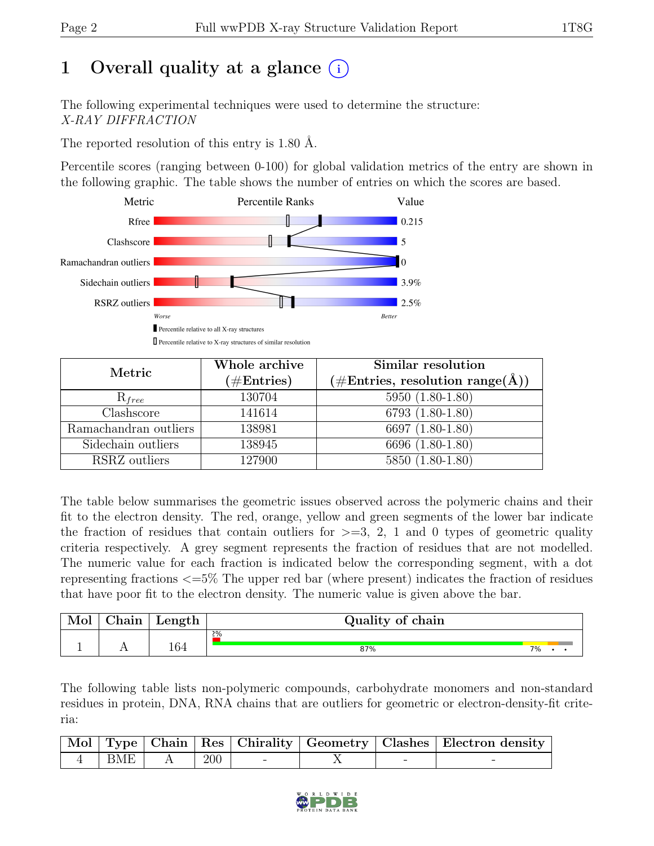# 1 Overall quality at a glance  $(i)$

The following experimental techniques were used to determine the structure: X-RAY DIFFRACTION

The reported resolution of this entry is 1.80 Å.

Percentile scores (ranging between 0-100) for global validation metrics of the entry are shown in the following graphic. The table shows the number of entries on which the scores are based.



| Metric                | Whole archive<br>$(\# \text{Entries})$ | Similar resolution<br>$(\# \text{Entries}, \text{ resolution } \text{range}(\AA))$ |
|-----------------------|----------------------------------------|------------------------------------------------------------------------------------|
| $R_{free}$            | 130704                                 | 5950 (1.80-1.80)                                                                   |
| Clashscore            | 141614                                 | 6793 (1.80-1.80)                                                                   |
| Ramachandran outliers | 138981                                 | 6697 (1.80-1.80)                                                                   |
| Sidechain outliers    | 138945                                 | 6696 (1.80-1.80)                                                                   |
| RSRZ outliers         | 127900                                 | 5850 (1.80-1.80)                                                                   |

The table below summarises the geometric issues observed across the polymeric chains and their fit to the electron density. The red, orange, yellow and green segments of the lower bar indicate the fraction of residues that contain outliers for  $\geq$ =3, 2, 1 and 0 types of geometric quality criteria respectively. A grey segment represents the fraction of residues that are not modelled. The numeric value for each fraction is indicated below the corresponding segment, with a dot representing fractions <=5% The upper red bar (where present) indicates the fraction of residues that have poor fit to the electron density. The numeric value is given above the bar.

| Mol | $\gamma$ hain | Length | Quality of chain |    |  |  |
|-----|---------------|--------|------------------|----|--|--|
|     |               |        | 2%               |    |  |  |
|     |               | 164    | 87%              | 7% |  |  |

The following table lists non-polymeric compounds, carbohydrate monomers and non-standard residues in protein, DNA, RNA chains that are outliers for geometric or electron-density-fit criteria:

|     |     |                          |  | Mol Type   Chain   Res   Chirality   Geometry   Clashes   Electron density |
|-----|-----|--------------------------|--|----------------------------------------------------------------------------|
| BME | 200 | $\overline{\phantom{0}}$ |  |                                                                            |

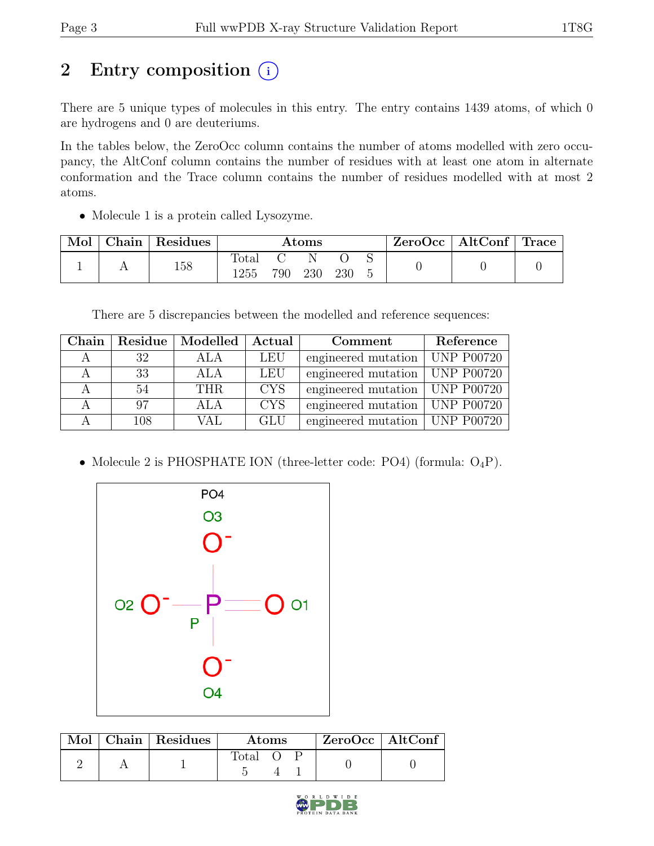# 2 Entry composition  $(i)$

There are 5 unique types of molecules in this entry. The entry contains 1439 atoms, of which 0 are hydrogens and 0 are deuteriums.

In the tables below, the ZeroOcc column contains the number of atoms modelled with zero occupancy, the AltConf column contains the number of residues with at least one atom in alternate conformation and the Trace column contains the number of residues modelled with at most 2 atoms.

• Molecule 1 is a protein called Lysozyme.

| Mol | ${\rm Chain}$ | Residues |              |     | $\rm{Atoms}$ |     |  | $ZeroOcc \mid AltConf \mid Trace \mid$ |  |
|-----|---------------|----------|--------------|-----|--------------|-----|--|----------------------------------------|--|
|     |               | 158      | 'otal<br>255 | 790 | 230          | 230 |  |                                        |  |

There are 5 discrepancies between the modelled and reference sequences:

| Chain |     | Residue   Modelled | Actual     | Comment                          | Reference          |
|-------|-----|--------------------|------------|----------------------------------|--------------------|
|       | 32  | ALA                | LEU        | engineered mutation              | $ $ UNP P00720     |
|       | 33  | ALA                | LEU        | engineered mutation              | $\vert$ UNP P00720 |
|       | 54  | THR.               | <b>CYS</b> | engineered mutation   UNP P00720 |                    |
|       | 97  | ALA                | <b>CYS</b> | engineered mutation              | $ $ UNP P00720     |
|       | 108 | <b>VAL</b>         | <b>GLU</b> | engineered mutation   UNP P00720 |                    |

• Molecule 2 is PHOSPHATE ION (three-letter code: PO4) (formula:  $O_4P$ ).



|  | Mol   Chain   Residues | Atoms |  |  | $ZeroOcc$   AltConf |  |
|--|------------------------|-------|--|--|---------------------|--|
|  |                        | Total |  |  |                     |  |

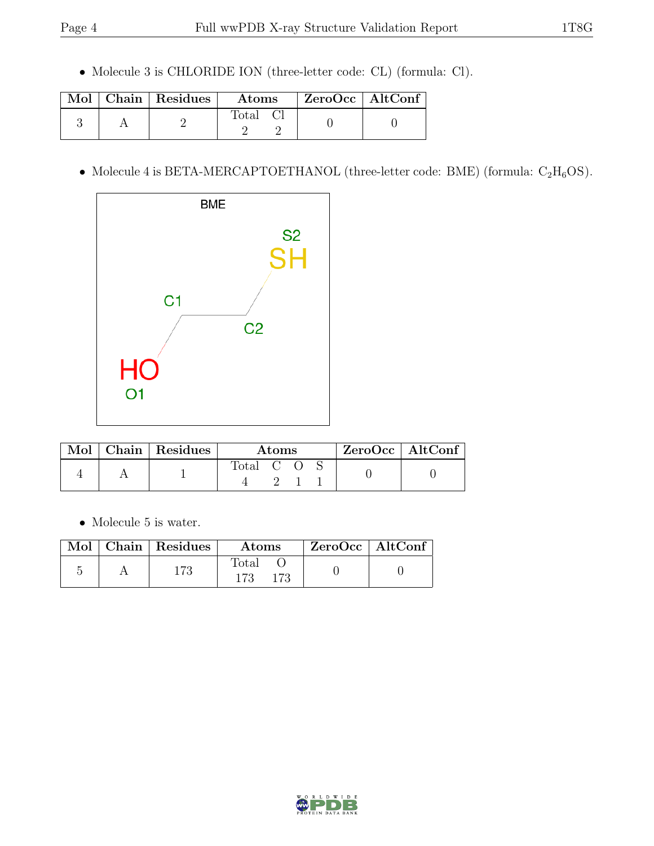• Molecule 3 is CHLORIDE ION (three-letter code: CL) (formula: Cl).

|  | Mol   Chain   Residues | Atoms          | ZeroOcc   AltConf |  |
|--|------------------------|----------------|-------------------|--|
|  |                        | $\text{Total}$ |                   |  |

• Molecule 4 is BETA-MERCAPTOETHANOL (three-letter code: BME) (formula:  $C_2H_6OS$ ).



| Mol | Chain   Residues | Atoms |  |  |  | $ZeroOcc \   \$ AltConf |
|-----|------------------|-------|--|--|--|-------------------------|
|     |                  | Fotal |  |  |  |                         |

 $\bullet\,$  Molecule 5 is water.

|  | $\blacksquare$ Mol $\vert$ Chain $\vert$ Residues $\vert$ | Atoms        | $\mathsf{ZeroOcc} \mid \mathsf{AltConf}$ |  |
|--|-----------------------------------------------------------|--------------|------------------------------------------|--|
|  | $173\,$                                                   | Total<br>173 |                                          |  |

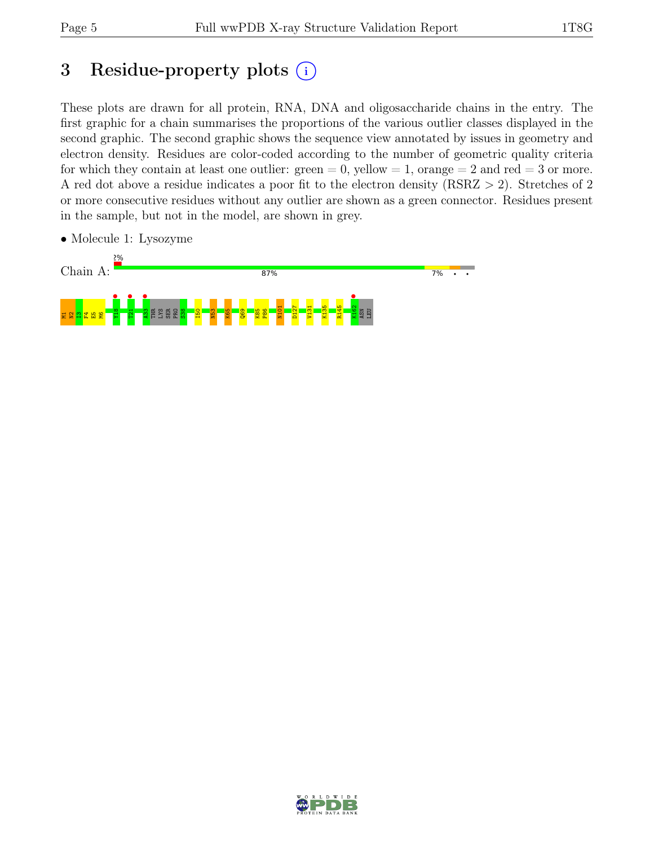# 3 Residue-property plots  $(i)$

These plots are drawn for all protein, RNA, DNA and oligosaccharide chains in the entry. The first graphic for a chain summarises the proportions of the various outlier classes displayed in the second graphic. The second graphic shows the sequence view annotated by issues in geometry and electron density. Residues are color-coded according to the number of geometric quality criteria for which they contain at least one outlier:  $green = 0$ , yellow  $= 1$ , orange  $= 2$  and red  $= 3$  or more. A red dot above a residue indicates a poor fit to the electron density (RSRZ > 2). Stretches of 2 or more consecutive residues without any outlier are shown as a green connector. Residues present in the sample, but not in the model, are shown in grey.



• Molecule 1: Lysozyme

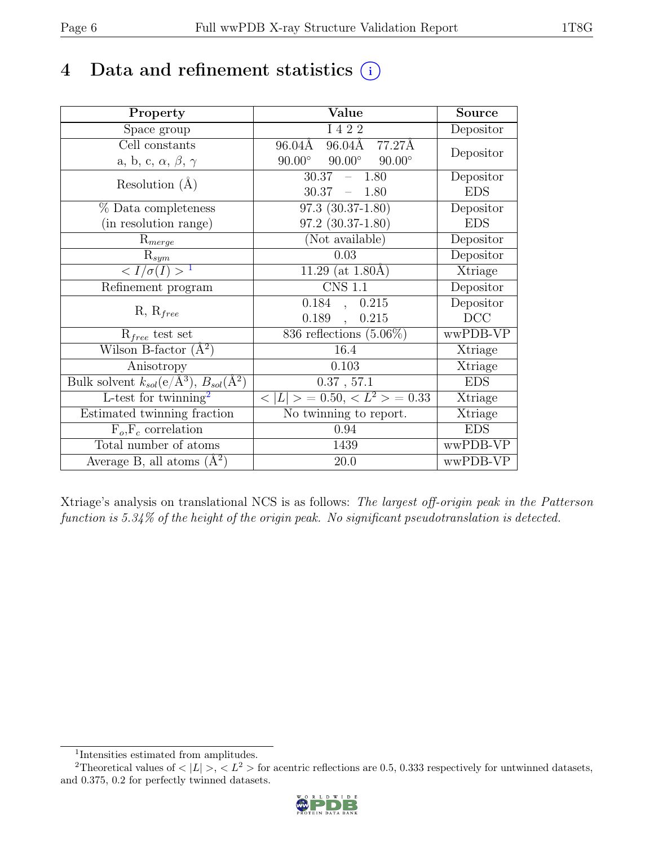# 4 Data and refinement statistics  $(i)$

| Property                                                         | Value                                           | <b>Source</b> |
|------------------------------------------------------------------|-------------------------------------------------|---------------|
| Space group                                                      | I 4 2 2                                         | Depositor     |
| Cell constants                                                   | 96.04Å 77.27Å<br>96.04Å                         | Depositor     |
| a, b, c, $\alpha$ , $\beta$ , $\gamma$                           | $90.00^\circ$<br>$90.00^\circ$<br>$90.00^\circ$ |               |
| Resolution $(A)$                                                 | 30.37<br>$-1.80$                                | Depositor     |
|                                                                  | 30.37<br>$-1.80$                                | <b>EDS</b>    |
| $%$ Data completeness                                            | $97.3(30.37-1.80)$                              | Depositor     |
| (in resolution range)                                            | 97.2 (30.37-1.80)                               | <b>EDS</b>    |
| $R_{merge}$                                                      | (Not available)                                 | Depositor     |
| $\mathrm{R}_{sym}$                                               | 0.03                                            | Depositor     |
| $\langle I/\sigma(I) \rangle$ <sup>1</sup>                       | 11.29 (at $1.80\text{\AA}$ )                    | Xtriage       |
| Refinement program                                               | $\overline{\text{CNS} 1.1}$                     | Depositor     |
|                                                                  | 0.184,<br>0.215                                 | Depositor     |
| $R, R_{free}$                                                    | $0.189$ ,<br>0.215                              | DCC           |
| $R_{free}$ test set                                              | 836 reflections $(5.06\%)$                      | wwPDB-VP      |
| Wilson B-factor $(A^2)$                                          | 16.4                                            | Xtriage       |
| Anisotropy                                                       | 0.103                                           | Xtriage       |
| Bulk solvent $k_{sol}(\text{e}/\text{A}^3), B_{sol}(\text{A}^2)$ | 0.37, 57.1                                      | <b>EDS</b>    |
| L-test for $\overline{\text{twinning}}^2$                        | $< L >$ = 0.50, $< L^2 >$ = 0.33                | Xtriage       |
| Estimated twinning fraction                                      | $\overline{\text{No}}$ twinning to report.      | Xtriage       |
| $F_o, F_c$ correlation                                           | 0.94                                            | <b>EDS</b>    |
| Total number of atoms                                            | 1439                                            | wwPDB-VP      |
| Average B, all atoms $(A^2)$                                     | 20.0                                            | wwPDB-VP      |

Xtriage's analysis on translational NCS is as follows: The largest off-origin peak in the Patterson function is 5.34% of the height of the origin peak. No significant pseudotranslation is detected.

<sup>&</sup>lt;sup>2</sup>Theoretical values of  $\langle |L| \rangle$ ,  $\langle L^2 \rangle$  for acentric reflections are 0.5, 0.333 respectively for untwinned datasets, and 0.375, 0.2 for perfectly twinned datasets.



<span id="page-5-1"></span><span id="page-5-0"></span><sup>1</sup> Intensities estimated from amplitudes.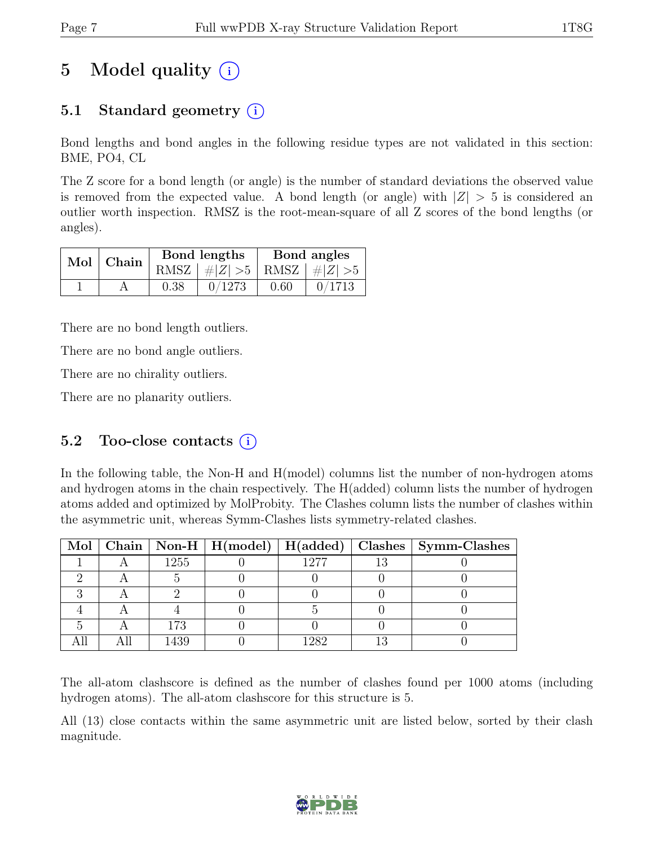# 5 Model quality  $(i)$

### 5.1 Standard geometry  $(i)$

Bond lengths and bond angles in the following residue types are not validated in this section: BME, PO4, CL

The Z score for a bond length (or angle) is the number of standard deviations the observed value is removed from the expected value. A bond length (or angle) with  $|Z| > 5$  is considered an outlier worth inspection. RMSZ is the root-mean-square of all Z scores of the bond lengths (or angles).

| Bond lengths<br>$Mol$ Chain |      |                                 | Bond angles |        |  |
|-----------------------------|------|---------------------------------|-------------|--------|--|
|                             |      | RMSZ $ #Z  > 5$ RMSZ $ #Z  > 5$ |             |        |  |
|                             | 0.38 | 0/1273                          | 0.60        | 0/1713 |  |

There are no bond length outliers.

There are no bond angle outliers.

There are no chirality outliers.

There are no planarity outliers.

#### 5.2 Too-close contacts  $(i)$

In the following table, the Non-H and H(model) columns list the number of non-hydrogen atoms and hydrogen atoms in the chain respectively. The H(added) column lists the number of hydrogen atoms added and optimized by MolProbity. The Clashes column lists the number of clashes within the asymmetric unit, whereas Symm-Clashes lists symmetry-related clashes.

|  |      |      | Mol   Chain   Non-H   H(model)   H(added)   Clashes   Symm-Clashes |
|--|------|------|--------------------------------------------------------------------|
|  | 1255 | 1277 |                                                                    |
|  |      |      |                                                                    |
|  |      |      |                                                                    |
|  |      |      |                                                                    |
|  | 173  |      |                                                                    |
|  | 1439 | 1929 |                                                                    |

The all-atom clashscore is defined as the number of clashes found per 1000 atoms (including hydrogen atoms). The all-atom clashscore for this structure is 5.

All (13) close contacts within the same asymmetric unit are listed below, sorted by their clash magnitude.

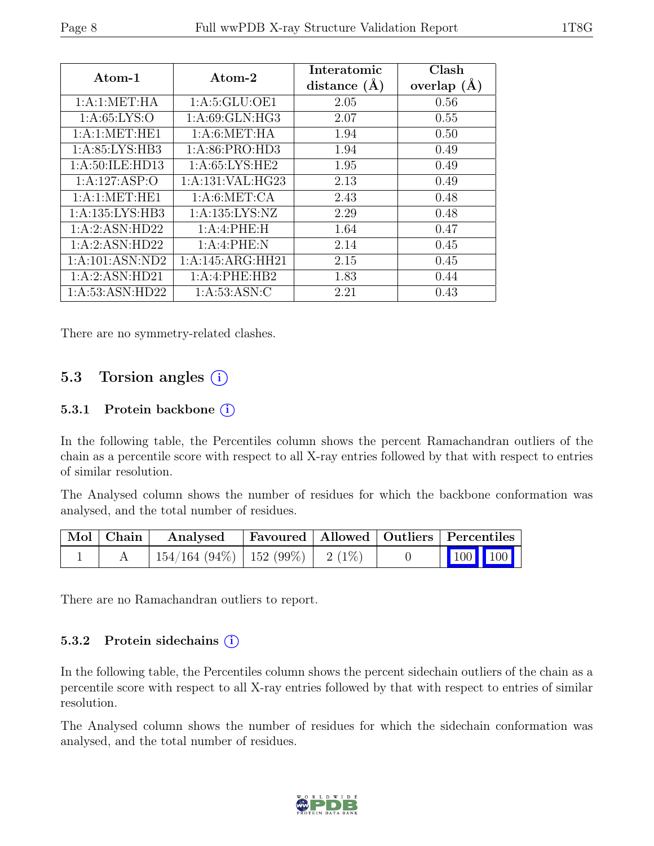| Atom-1              | Atom-2            | Interatomic<br>distance $(\AA)$ | Clash<br>overlap $(A)$ |
|---------------------|-------------------|---------------------------------|------------------------|
| 1: A:1: MET:HA      | 1: A:5: GLU:OE1   | 2.05                            | 0.56                   |
| 1: A:65: LYS:O      | 1: A:69: GLN: HG3 | 2.07                            | 0.55                   |
| 1: A:1: MET: HE1    | 1: A:6: MET:HA    | 1.94                            | 0.50                   |
| 1:A:85:LYS:HB3      | 1:A:86:PRO:HD3    | 1.94                            | 0.49                   |
| 1:A:50:ILE:HD13     | 1: A:65: LYS: HE2 | 1.95                            | 0.49                   |
| 1:A:127:ASP:O       | 1:A:131:VAL:HG23  | 2.13                            | 0.49                   |
| 1: A:1: MET: HE1    | 1: A:6: MET:CA    | 2.43                            | 0.48                   |
| 1: A: 135: LYS: HB3 | 1:A:135:LYS:NZ    | 2.29                            | 0.48                   |
| 1:A:2:ASN:HD22      | 1:A:4:PHE:H       | 1.64                            | 0.47                   |
| 1:A:2:ASN:HD22      | 1:A:4:PHE:N       | 2.14                            | 0.45                   |
| 1:A:101:ASN:ND2     | 1:A:145:ARG:HH21  | 2.15                            | 0.45                   |
| 1:A:2:ASN:HD21      | 1:A:4:PHE:HB2     | 1.83                            | 0.44                   |
| 1: A:53: ASN:HD22   | 1: A:53: ASN: C   | 2.21                            | 0.43                   |

There are no symmetry-related clashes.

#### 5.3 Torsion angles  $(i)$

#### 5.3.1 Protein backbone (i)

In the following table, the Percentiles column shows the percent Ramachandran outliers of the chain as a percentile score with respect to all X-ray entries followed by that with respect to entries of similar resolution.

The Analysed column shows the number of residues for which the backbone conformation was analysed, and the total number of residues.

| Mol   Chain | Analysed                                |  | Favoured   Allowed   Outliers   Percentiles |
|-------------|-----------------------------------------|--|---------------------------------------------|
|             | $154/164$ (94\%)   152 (99\%)   2 (1\%) |  | $\vert$ 100 100 $\vert$                     |

There are no Ramachandran outliers to report.

#### 5.3.2 Protein sidechains  $(i)$

In the following table, the Percentiles column shows the percent sidechain outliers of the chain as a percentile score with respect to all X-ray entries followed by that with respect to entries of similar resolution.

The Analysed column shows the number of residues for which the sidechain conformation was analysed, and the total number of residues.

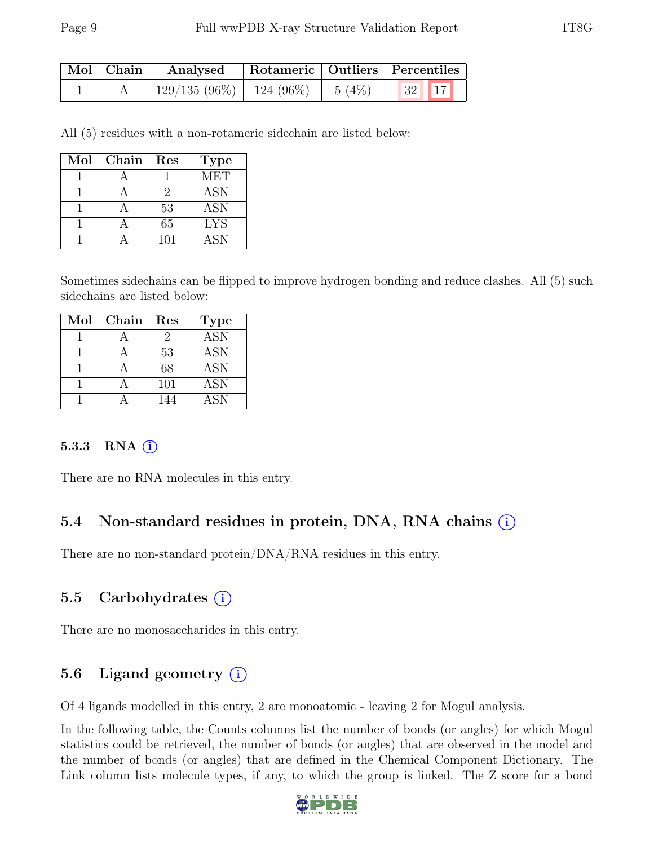| Mol   Chain | Analysed                     | Rotameric   Outliers   Percentiles |       |                                 |  |
|-------------|------------------------------|------------------------------------|-------|---------------------------------|--|
|             | $129/135(96\%)$   124 (96\%) |                                    | 5(4%) | $\vert 32 \vert \vert 17 \vert$ |  |

All (5) residues with a non-rotameric sidechain are listed below:

| Mol | Chain | Res | <b>Type</b> |
|-----|-------|-----|-------------|
|     |       |     | <b>MET</b>  |
|     |       | 2   | <b>ASN</b>  |
|     |       | 53  | <b>ASN</b>  |
|     |       | 65  | <b>LYS</b>  |
|     |       | 101 | ASN         |

Sometimes sidechains can be flipped to improve hydrogen bonding and reduce clashes. All (5) such sidechains are listed below:

| Mol | Chain | Res | <b>Type</b> |
|-----|-------|-----|-------------|
|     |       | 2   | <b>ASN</b>  |
|     |       | 53  | <b>ASN</b>  |
|     |       | 68  | <b>ASN</b>  |
|     |       | 101 | <b>ASN</b>  |
|     |       |     | ASN         |

#### 5.3.3 RNA  $(i)$

There are no RNA molecules in this entry.

### 5.4 Non-standard residues in protein, DNA, RNA chains (i)

There are no non-standard protein/DNA/RNA residues in this entry.

### 5.5 Carbohydrates  $(i)$

There are no monosaccharides in this entry.

### 5.6 Ligand geometry  $(i)$

Of 4 ligands modelled in this entry, 2 are monoatomic - leaving 2 for Mogul analysis.

In the following table, the Counts columns list the number of bonds (or angles) for which Mogul statistics could be retrieved, the number of bonds (or angles) that are observed in the model and the number of bonds (or angles) that are defined in the Chemical Component Dictionary. The Link column lists molecule types, if any, to which the group is linked. The Z score for a bond

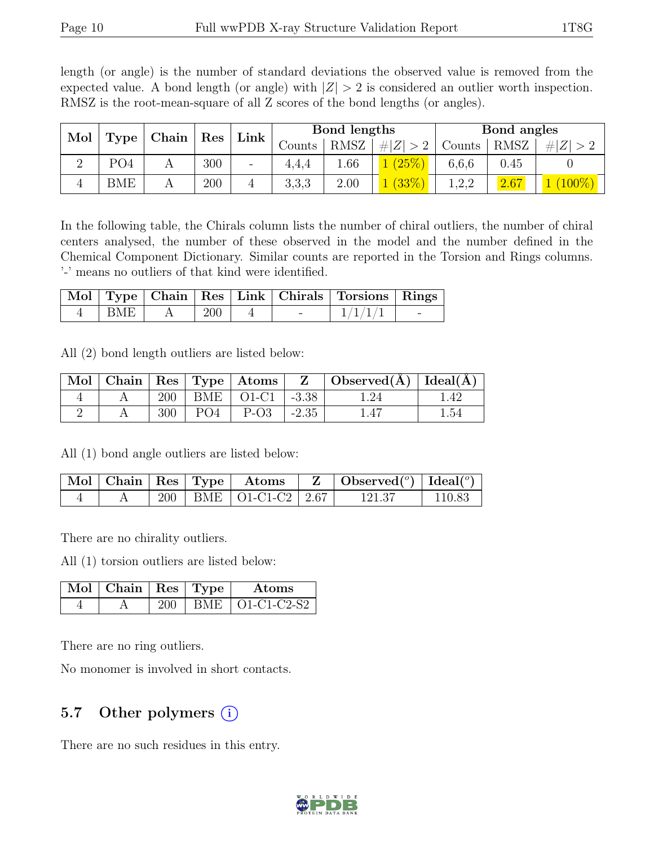length (or angle) is the number of standard deviations the observed value is removed from the expected value. A bond length (or angle) with  $|Z| > 2$  is considered an outlier worth inspection. RMSZ is the root-mean-square of all Z scores of the bond lengths (or angles).

| Mol |            |       |     | Link |        | Bond lengths |             |        | Bond angles |           |
|-----|------------|-------|-----|------|--------|--------------|-------------|--------|-------------|-----------|
|     | Type       | Chain | Res |      | Counts | <b>RMSZ</b>  | # $ Z  > 2$ | Counts | <b>RMSZ</b> | H Z       |
|     | PO4        |       | 300 | Ξ.   | 4.4.4  | 0.66         | (25%)       | 6,6,6  | 0.45        |           |
|     | <b>BME</b> |       | 200 |      | 3,3,3  | 2.00         | (33%)       | 1,2,2  | 2.67        | $(100\%)$ |

In the following table, the Chirals column lists the number of chiral outliers, the number of chiral centers analysed, the number of these observed in the model and the number defined in the Chemical Component Dictionary. Similar counts are reported in the Torsion and Rings columns. '-' means no outliers of that kind were identified.

|     |            |  | Mol   Type   Chain   Res   Link   Chirals   Torsions   Rings |  |
|-----|------------|--|--------------------------------------------------------------|--|
| BME | <b>200</b> |  | 1/1/1                                                        |  |

All (2) bond length outliers are listed below:

|  |     |                               |            | $\mid$ Mol $\mid$ Chain $\mid$ Res $\mid$ Type $\mid$ Atoms $\mid$ $\mid$ Z $\mid$ Observed(A) $\mid$ Ideal(A) $\mid$ |      |
|--|-----|-------------------------------|------------|-----------------------------------------------------------------------------------------------------------------------|------|
|  |     | $200$   BME   O1-C1   -3.38   |            |                                                                                                                       | 1.42 |
|  | 300 | $\mid$ PO4 $\mid$ P-O3 $\mid$ | $1 - 2.35$ | 1.47                                                                                                                  | 1.54 |

All (1) bond angle outliers are listed below:

|  |  |                             | $\mid$ Mol   Chain   Res   Type   Atoms   Z   Observed $(^\circ)$   Ideal $(^\circ)$ |        |
|--|--|-----------------------------|--------------------------------------------------------------------------------------|--------|
|  |  | 200   BME   O1-C1-C2   2.67 | 121.37                                                                               | 110.83 |

There are no chirality outliers.

All (1) torsion outliers are listed below:

| $\mid$ Mol $\mid$ Chain $\mid$ Res $\mid$ Type $\mid$ |  | Atoms             |
|-------------------------------------------------------|--|-------------------|
|                                                       |  | BME   O1-C1-C2-S2 |

There are no ring outliers.

No monomer is involved in short contacts.

#### 5.7 Other polymers  $(i)$

There are no such residues in this entry.

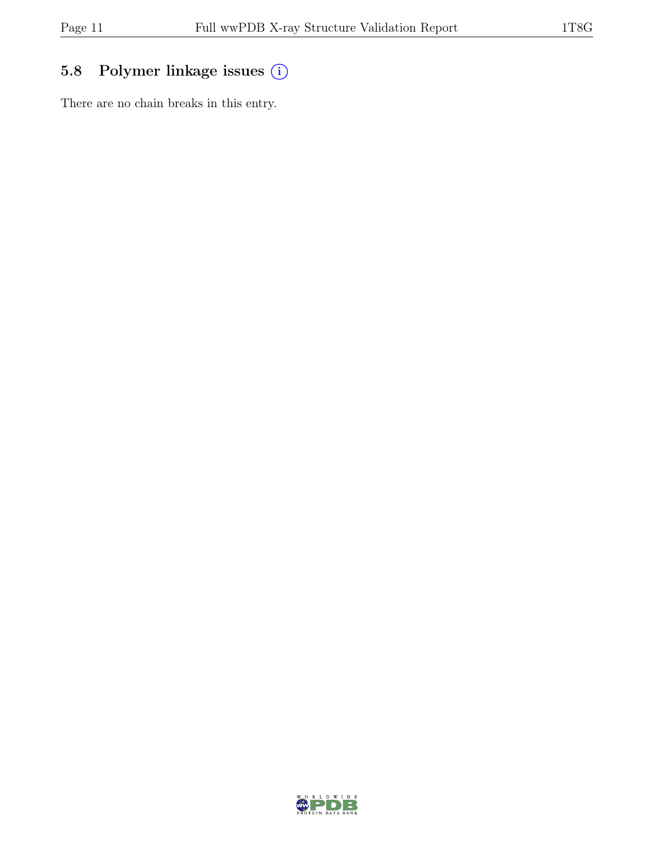### 5.8 Polymer linkage issues  $(i)$

There are no chain breaks in this entry.

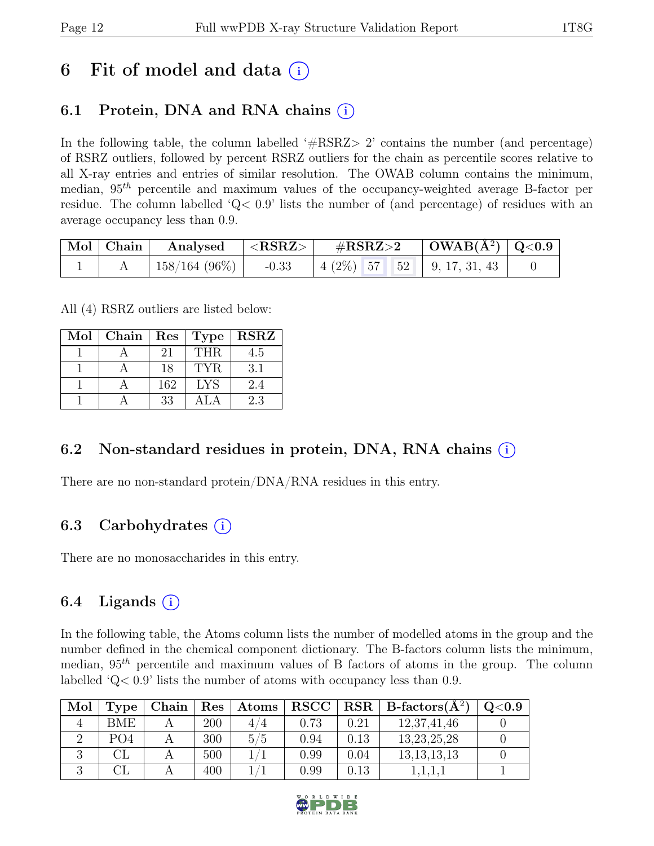# 6 Fit of model and data  $(i)$

### 6.1 Protein, DNA and RNA chains (i)

In the following table, the column labelled  $#RSRZ>2$  contains the number (and percentage) of RSRZ outliers, followed by percent RSRZ outliers for the chain as percentile scores relative to all X-ray entries and entries of similar resolution. The OWAB column contains the minimum, median,  $95<sup>th</sup>$  percentile and maximum values of the occupancy-weighted average B-factor per residue. The column labelled 'Q< 0.9' lists the number of (and percentage) of residues with an average occupancy less than 0.9.

| Mol   Chain | Analysed             | ${ <\bf RSRZ> }$ | $\#\text{RSRZ}\text{>2}$ |  | $\vert$ OWAB( $\rm \AA^2)$ $\vert$ Q<0.9 |                                          |  |
|-------------|----------------------|------------------|--------------------------|--|------------------------------------------|------------------------------------------|--|
|             | $\pm 158/164~(96\%)$ | $-0.33$          |                          |  |                                          | $\mid$ 4 (2%) 57 52 $\mid$ 9, 17, 31, 43 |  |

All (4) RSRZ outliers are listed below:

| Mol | Chain   Res |     | Type       | $\operatorname{RSRZ}$ |
|-----|-------------|-----|------------|-----------------------|
|     |             | 21  | THR.       | 4.5                   |
|     |             | 18  | TYR.       | 3.1                   |
|     |             | 162 | <b>LYS</b> | 2.4                   |
|     |             | 33  | A L.A      | 2.3                   |

### 6.2 Non-standard residues in protein, DNA, RNA chains  $(i)$

There are no non-standard protein/DNA/RNA residues in this entry.

### 6.3 Carbohydrates  $(i)$

There are no monosaccharides in this entry.

### 6.4 Ligands  $(i)$

In the following table, the Atoms column lists the number of modelled atoms in the group and the number defined in the chemical component dictionary. The B-factors column lists the minimum, median,  $95<sup>th</sup>$  percentile and maximum values of B factors of atoms in the group. The column labelled 'Q< 0.9' lists the number of atoms with occupancy less than 0.9.

| Mol | Type            | Chain | $\operatorname{Res}% \left( \mathcal{N}\right) \equiv\operatorname{Res}(\mathcal{N}_{0},\mathcal{N}_{0})$ | Atoms | <b>RSCC</b> |            | $RSR   B-factors(A^2)$ | $\mathrm{Q}{<}0.9$ |
|-----|-----------------|-------|-----------------------------------------------------------------------------------------------------------|-------|-------------|------------|------------------------|--------------------|
|     | BME.            |       | 200                                                                                                       | 4     | 0.73        | $\rm 0.21$ | 12,37,41,46            |                    |
|     | PO <sub>4</sub> |       | 300                                                                                                       | 5/5   | 0.94        | 0.13       | 13, 23, 25, 28         |                    |
|     |                 |       | 500                                                                                                       |       | 0.99        | $0.04\,$   | 13, 13, 13, 13         |                    |
|     |                 |       | 400                                                                                                       |       | $0.99\,$    | 0.13       |                        |                    |